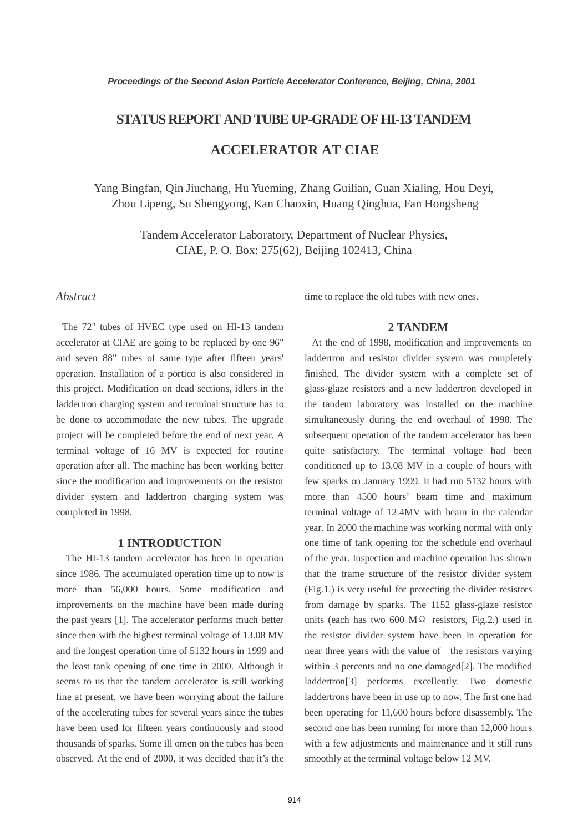## **STATUS REPORT AND TUBE UP-GRADE OF HI-13 TANDEM**

# **ACCELERATOR AT CIAE**

Yang Bingfan, Qin Jiuchang, Hu Yueming, Zhang Guilian, Guan Xialing, Hou Deyi, Zhou Lipeng, Su Shengyong, Kan Chaoxin, Huang Qinghua, Fan Hongsheng

> Tandem Accelerator Laboratory, Department of Nuclear Physics, CIAE, P. O. Box: 275(62), Beijing 102413, China

### *Abstract*

The 72" tubes of HVEC type used on HI-13 tandem accelerator at CIAE are going to be replaced by one 96" and seven 88" tubes of same type after fifteen years' operation. Installation of a portico is also considered in this project. Modification on dead sections, idlers in the laddertron charging system and terminal structure has to be done to accommodate the new tubes. The upgrade project will be completed before the end of next year. A terminal voltage of 16 MV is expected for routine operation after all. The machine has been working better since the modification and improvements on the resistor divider system and laddertron charging system was completed in 1998.

### **1 INTRODUCTION**

The HI-13 tandem accelerator has been in operation since 1986. The accumulated operation time up to now is more than 56,000 hours. Some modification and improvements on the machine have been made during the past years [1]. The accelerator performs much better since then with the highest terminal voltage of 13.08 MV and the longest operation time of 5132 hours in 1999 and the least tank opening of one time in 2000. Although it seems to us that the tandem accelerator is still working fine at present, we have been worrying about the failure of the accelerating tubes for several years since the tubes have been used for fifteen years continuously and stood thousands of sparks. Some ill omen on the tubes has been observed. At the end of 2000, it was decided that it's the time to replace the old tubes with new ones.

#### **2 TANDEM**

 At the end of 1998, modification and improvements on laddertron and resistor divider system was completely finished. The divider system with a complete set of glass-glaze resistors and a new laddertron developed in the tandem laboratory was installed on the machine simultaneously during the end overhaul of 1998. The subsequent operation of the tandem accelerator has been quite satisfactory. The terminal voltage had been conditioned up to 13.08 MV in a couple of hours with few sparks on January 1999. It had run 5132 hours with more than 4500 hours' beam time and maximum terminal voltage of 12.4MV with beam in the calendar year. In 2000 the machine was working normal with only one time of tank opening for the schedule end overhaul of the year. Inspection and machine operation has shown that the frame structure of the resistor divider system (Fig.1.) is very useful for protecting the divider resistors from damage by sparks. The 1152 glass-glaze resistor units (each has two 600 M $\Omega$  resistors, Fig.2.) used in the resistor divider system have been in operation for near three years with the value of the resistors varying within 3 percents and no one damaged[2]. The modified laddertron[3] performs excellently. Two domestic laddertrons have been in use up to now. The first one had been operating for 11,600 hours before disassembly. The second one has been running for more than 12,000 hours with a few adjustments and maintenance and it still runs smoothly at the terminal voltage below 12 MV.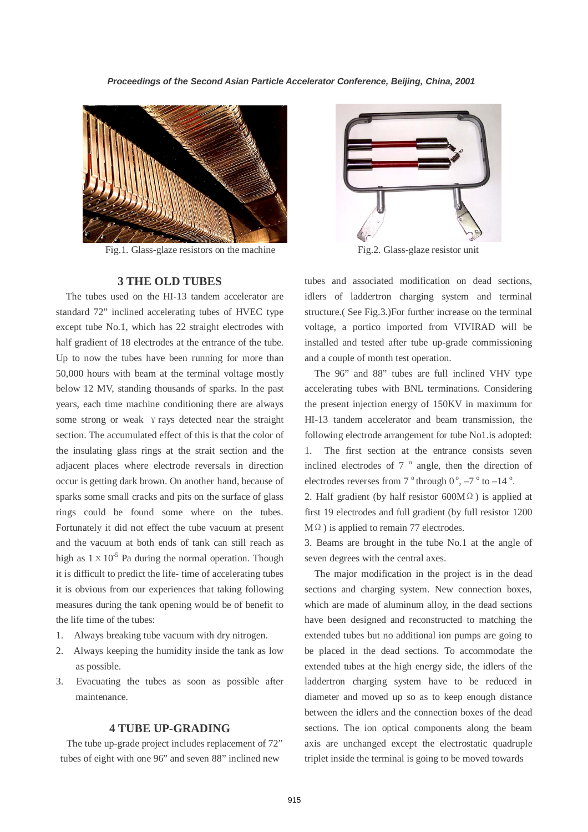

Fig.1. Glass-glaze resistors on the machine

#### **3 THE OLD TUBES**

The tubes used on the HI-13 tandem accelerator are standard 72" inclined accelerating tubes of HVEC type except tube No.1, which has 22 straight electrodes with half gradient of 18 electrodes at the entrance of the tube. Up to now the tubes have been running for more than 50,000 hours with beam at the terminal voltage mostly below 12 MV, standing thousands of sparks. In the past years, each time machine conditioning there are always some strong or weak *γrays* detected near the straight section. The accumulated effect of this is that the color of the insulating glass rings at the strait section and the adjacent places where electrode reversals in direction occur is getting dark brown. On another hand, because of sparks some small cracks and pits on the surface of glass rings could be found some where on the tubes. Fortunately it did not effect the tube vacuum at present and the vacuum at both ends of tank can still reach as high as  $1 \times 10^{-5}$  Pa during the normal operation. Though it is difficult to predict the life- time of accelerating tubes it is obvious from our experiences that taking following measures during the tank opening would be of benefit to the life time of the tubes:

- 1. Always breaking tube vacuum with dry nitrogen.
- 2. Always keeping the humidity inside the tank as low as possible.
- 3. Evacuating the tubes as soon as possible after maintenance.

#### **4 TUBE UP-GRADING**

The tube up-grade project includes replacement of 72" tubes of eight with one 96" and seven 88" inclined new



Fig.2. Glass-glaze resistor unit

tubes and associated modification on dead sections, idlers of laddertron charging system and terminal structure.( See Fig.3.)For further increase on the terminal voltage, a portico imported from VIVIRAD will be installed and tested after tube up-grade commissioning and a couple of month test operation.

The 96" and 88" tubes are full inclined VHV type accelerating tubes with BNL terminations. Considering the present injection energy of 150KV in maximum for HI-13 tandem accelerator and beam transmission, the following electrode arrangement for tube No1.is adopted: 1. The first section at the entrance consists seven inclined electrodes of  $7<sup>o</sup>$  angle, then the direction of electrodes reverses from  $7^\circ$  through  $0^\circ$ ,  $-7^\circ$  to  $-14^\circ$ .

2. Half gradient (by half resistor  $600M\Omega$ ) is applied at first 19 electrodes and full gradient (by full resistor 1200 MΩ) is applied to remain 77 electrodes.

3. Beams are brought in the tube No.1 at the angle of seven degrees with the central axes.

The major modification in the project is in the dead sections and charging system. New connection boxes, which are made of aluminum alloy, in the dead sections have been designed and reconstructed to matching the extended tubes but no additional ion pumps are going to be placed in the dead sections. To accommodate the extended tubes at the high energy side, the idlers of the laddertron charging system have to be reduced in diameter and moved up so as to keep enough distance between the idlers and the connection boxes of the dead sections. The ion optical components along the beam axis are unchanged except the electrostatic quadruple triplet inside the terminal is going to be moved towards